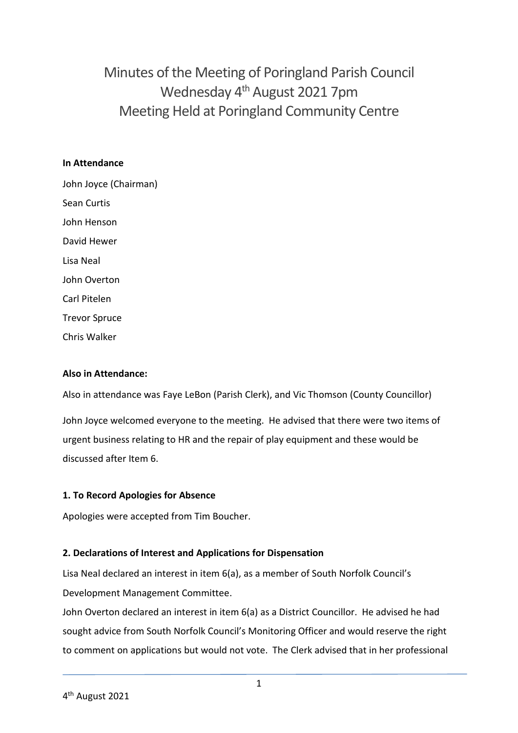Minutes of the Meeting of Poringland Parish Council Wednesday 4<sup>th</sup> August 2021 7pm Meeting Held at Poringland Community Centre

#### **In Attendance**

John Joyce (Chairman) Sean Curtis John Henson David Hewer Lisa Neal John Overton Carl Pitelen Trevor Spruce

### **Also in Attendance:**

Chris Walker

Also in attendance was Faye LeBon (Parish Clerk), and Vic Thomson (County Councillor)

John Joyce welcomed everyone to the meeting. He advised that there were two items of urgent business relating to HR and the repair of play equipment and these would be discussed after Item 6.

### **1. To Record Apologies for Absence**

Apologies were accepted from Tim Boucher.

### **2. Declarations of Interest and Applications for Dispensation**

Lisa Neal declared an interest in item 6(a), as a member of South Norfolk Council's Development Management Committee.

John Overton declared an interest in item 6(a) as a District Councillor. He advised he had sought advice from South Norfolk Council's Monitoring Officer and would reserve the right to comment on applications but would not vote. The Clerk advised that in her professional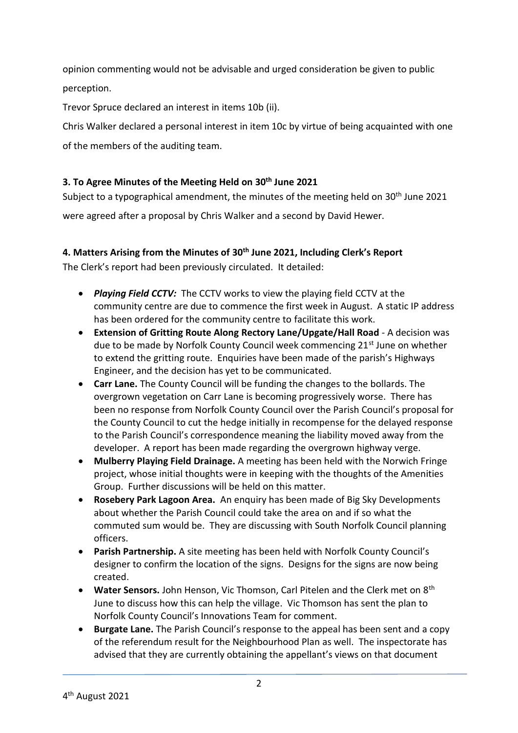opinion commenting would not be advisable and urged consideration be given to public perception.

Trevor Spruce declared an interest in items 10b (ii).

Chris Walker declared a personal interest in item 10c by virtue of being acquainted with one of the members of the auditing team.

### **3. To Agree Minutes of the Meeting Held on 30th June 2021**

Subject to a typographical amendment, the minutes of the meeting held on 30<sup>th</sup> June 2021 were agreed after a proposal by Chris Walker and a second by David Hewer.

### **4. Matters Arising from the Minutes of 30th June 2021, Including Clerk's Report**

The Clerk's report had been previously circulated. It detailed:

- *Playing Field CCTV:* The CCTV works to view the playing field CCTV at the community centre are due to commence the first week in August. A static IP address has been ordered for the community centre to facilitate this work.
- **Extension of Gritting Route Along Rectory Lane/Upgate/Hall Road** A decision was due to be made by Norfolk County Council week commencing 21<sup>st</sup> June on whether to extend the gritting route. Enquiries have been made of the parish's Highways Engineer, and the decision has yet to be communicated.
- **Carr Lane.** The County Council will be funding the changes to the bollards. The overgrown vegetation on Carr Lane is becoming progressively worse. There has been no response from Norfolk County Council over the Parish Council's proposal for the County Council to cut the hedge initially in recompense for the delayed response to the Parish Council's correspondence meaning the liability moved away from the developer. A report has been made regarding the overgrown highway verge.
- **Mulberry Playing Field Drainage.** A meeting has been held with the Norwich Fringe project, whose initial thoughts were in keeping with the thoughts of the Amenities Group. Further discussions will be held on this matter.
- **Rosebery Park Lagoon Area.** An enquiry has been made of Big Sky Developments about whether the Parish Council could take the area on and if so what the commuted sum would be. They are discussing with South Norfolk Council planning officers.
- **Parish Partnership.** A site meeting has been held with Norfolk County Council's designer to confirm the location of the signs. Designs for the signs are now being created.
- **Water Sensors.** John Henson, Vic Thomson, Carl Pitelen and the Clerk met on 8th June to discuss how this can help the village. Vic Thomson has sent the plan to Norfolk County Council's Innovations Team for comment.
- **Burgate Lane.** The Parish Council's response to the appeal has been sent and a copy of the referendum result for the Neighbourhood Plan as well. The inspectorate has advised that they are currently obtaining the appellant's views on that document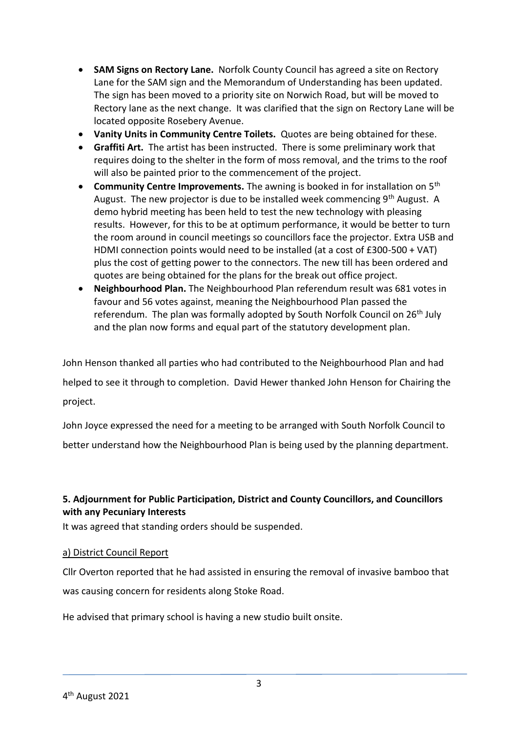- **SAM Signs on Rectory Lane.** Norfolk County Council has agreed a site on Rectory Lane for the SAM sign and the Memorandum of Understanding has been updated. The sign has been moved to a priority site on Norwich Road, but will be moved to Rectory lane as the next change. It was clarified that the sign on Rectory Lane will be located opposite Rosebery Avenue.
- **Vanity Units in Community Centre Toilets.** Quotes are being obtained for these.
- **Graffiti Art.** The artist has been instructed. There is some preliminary work that requires doing to the shelter in the form of moss removal, and the trims to the roof will also be painted prior to the commencement of the project.
- **Community Centre Improvements.** The awning is booked in for installation on 5<sup>th</sup> August. The new projector is due to be installed week commencing 9<sup>th</sup> August. A demo hybrid meeting has been held to test the new technology with pleasing results. However, for this to be at optimum performance, it would be better to turn the room around in council meetings so councillors face the projector. Extra USB and HDMI connection points would need to be installed (at a cost of £300-500 + VAT) plus the cost of getting power to the connectors. The new till has been ordered and quotes are being obtained for the plans for the break out office project.
- **Neighbourhood Plan.** The Neighbourhood Plan referendum result was 681 votes in favour and 56 votes against, meaning the Neighbourhood Plan passed the referendum. The plan was formally adopted by South Norfolk Council on 26<sup>th</sup> July and the plan now forms and equal part of the statutory development plan.

John Henson thanked all parties who had contributed to the Neighbourhood Plan and had helped to see it through to completion. David Hewer thanked John Henson for Chairing the project.

John Joyce expressed the need for a meeting to be arranged with South Norfolk Council to better understand how the Neighbourhood Plan is being used by the planning department.

### **5. Adjournment for Public Participation, District and County Councillors, and Councillors with any Pecuniary Interests**

It was agreed that standing orders should be suspended.

### a) District Council Report

Cllr Overton reported that he had assisted in ensuring the removal of invasive bamboo that was causing concern for residents along Stoke Road.

He advised that primary school is having a new studio built onsite.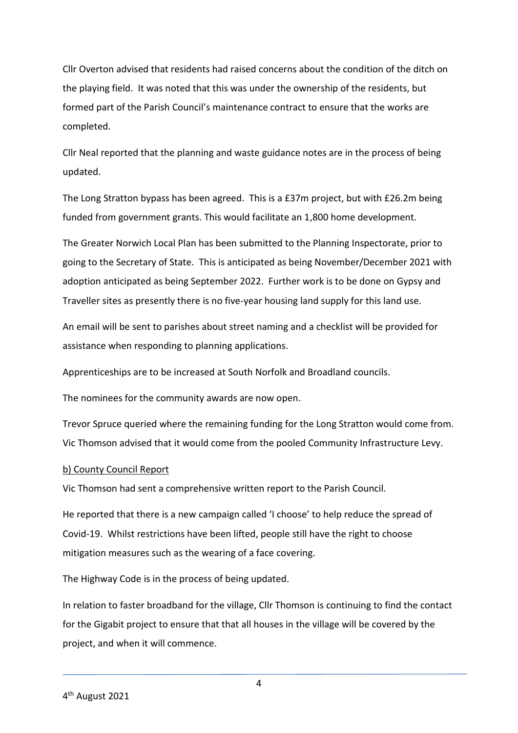Cllr Overton advised that residents had raised concerns about the condition of the ditch on the playing field. It was noted that this was under the ownership of the residents, but formed part of the Parish Council's maintenance contract to ensure that the works are completed.

Cllr Neal reported that the planning and waste guidance notes are in the process of being updated.

The Long Stratton bypass has been agreed. This is a £37m project, but with £26.2m being funded from government grants. This would facilitate an 1,800 home development.

The Greater Norwich Local Plan has been submitted to the Planning Inspectorate, prior to going to the Secretary of State. This is anticipated as being November/December 2021 with adoption anticipated as being September 2022. Further work is to be done on Gypsy and Traveller sites as presently there is no five-year housing land supply for this land use.

An email will be sent to parishes about street naming and a checklist will be provided for assistance when responding to planning applications.

Apprenticeships are to be increased at South Norfolk and Broadland councils.

The nominees for the community awards are now open.

Trevor Spruce queried where the remaining funding for the Long Stratton would come from. Vic Thomson advised that it would come from the pooled Community Infrastructure Levy.

### b) County Council Report

Vic Thomson had sent a comprehensive written report to the Parish Council.

He reported that there is a new campaign called 'I choose' to help reduce the spread of Covid-19. Whilst restrictions have been lifted, people still have the right to choose mitigation measures such as the wearing of a face covering.

The Highway Code is in the process of being updated.

In relation to faster broadband for the village, Cllr Thomson is continuing to find the contact for the Gigabit project to ensure that that all houses in the village will be covered by the project, and when it will commence.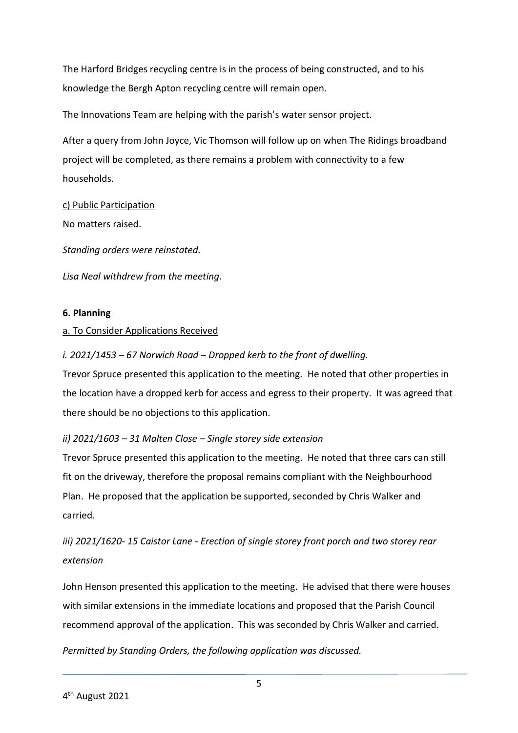The Harford Bridges recycling centre is in the process of being constructed, and to his knowledge the Bergh Apton recycling centre will remain open.

The Innovations Team are helping with the parish's water sensor project.

After a query from John Joyce, Vic Thomson will follow up on when The Ridings broadband project will be completed, as there remains a problem with connectivity to a few households.

c) Public Participation No matters raised.

*Standing orders were reinstated.* 

*Lisa Neal withdrew from the meeting.* 

### **6. Planning**

### a. To Consider Applications Received

*i. 2021/1453 – 67 Norwich Road – Dropped kerb to the front of dwelling.*

Trevor Spruce presented this application to the meeting. He noted that other properties in the location have a dropped kerb for access and egress to their property. It was agreed that there should be no objections to this application.

### *ii) 2021/1603 – 31 Malten Close – Single storey side extension*

Trevor Spruce presented this application to the meeting. He noted that three cars can still fit on the driveway, therefore the proposal remains compliant with the Neighbourhood Plan. He proposed that the application be supported, seconded by Chris Walker and carried.

# *iii) 2021/1620- 15 Caistor Lane - Erection of single storey front porch and two storey rear extension*

John Henson presented this application to the meeting. He advised that there were houses with similar extensions in the immediate locations and proposed that the Parish Council recommend approval of the application. This was seconded by Chris Walker and carried.

*Permitted by Standing Orders, the following application was discussed.*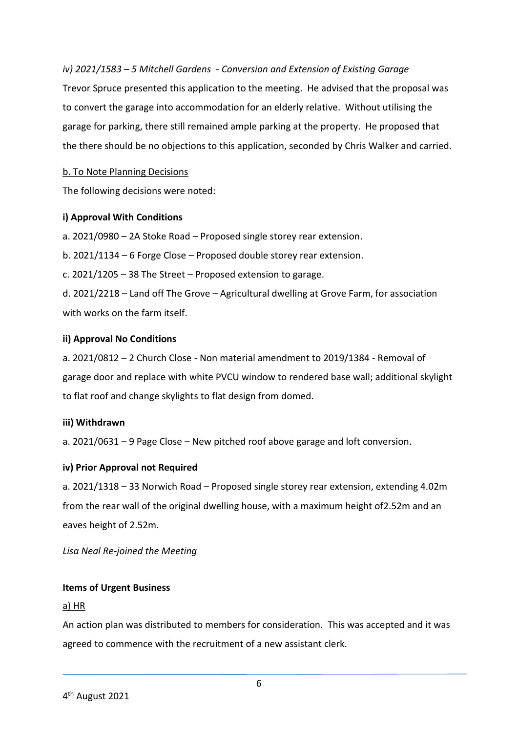*iv) 2021/1583 – 5 Mitchell Gardens - Conversion and Extension of Existing Garage* Trevor Spruce presented this application to the meeting. He advised that the proposal was to convert the garage into accommodation for an elderly relative. Without utilising the garage for parking, there still remained ample parking at the property. He proposed that the there should be no objections to this application, seconded by Chris Walker and carried.

### b. To Note Planning Decisions

The following decisions were noted:

#### **i) Approval With Conditions**

a. 2021/0980 – 2A Stoke Road – Proposed single storey rear extension.

b. 2021/1134 – 6 Forge Close – Proposed double storey rear extension.

c. 2021/1205 – 38 The Street – Proposed extension to garage.

d. 2021/2218 – Land off The Grove – Agricultural dwelling at Grove Farm, for association with works on the farm itself

#### **ii) Approval No Conditions**

a. 2021/0812 – 2 Church Close - Non material amendment to 2019/1384 - Removal of garage door and replace with white PVCU window to rendered base wall; additional skylight to flat roof and change skylights to flat design from domed.

#### **iii) Withdrawn**

a. 2021/0631 – 9 Page Close – New pitched roof above garage and loft conversion.

### **iv) Prior Approval not Required**

a. 2021/1318 – 33 Norwich Road – Proposed single storey rear extension, extending 4.02m from the rear wall of the original dwelling house, with a maximum height of2.52m and an eaves height of 2.52m.

*Lisa Neal Re-joined the Meeting*

### **Items of Urgent Business**

#### a) HR

An action plan was distributed to members for consideration. This was accepted and it was agreed to commence with the recruitment of a new assistant clerk.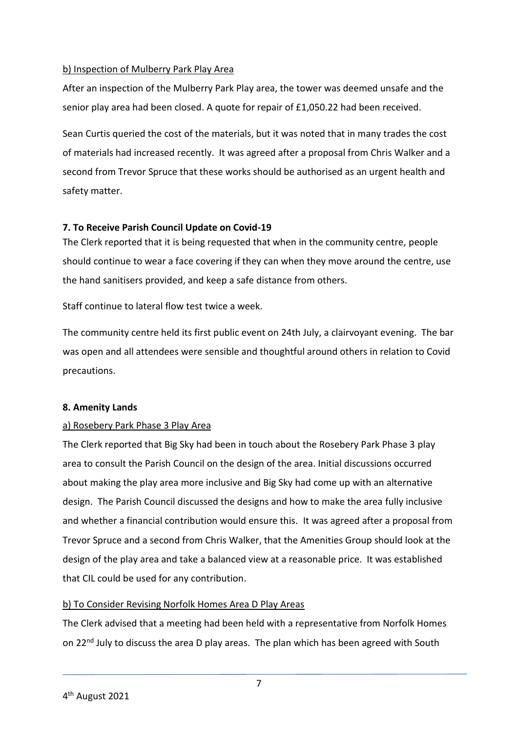### b) Inspection of Mulberry Park Play Area

After an inspection of the Mulberry Park Play area, the tower was deemed unsafe and the senior play area had been closed. A quote for repair of £1,050.22 had been received.

Sean Curtis queried the cost of the materials, but it was noted that in many trades the cost of materials had increased recently. It was agreed after a proposal from Chris Walker and a second from Trevor Spruce that these works should be authorised as an urgent health and safety matter.

### **7. To Receive Parish Council Update on Covid-19**

The Clerk reported that it is being requested that when in the community centre, people should continue to wear a face covering if they can when they move around the centre, use the hand sanitisers provided, and keep a safe distance from others.

Staff continue to lateral flow test twice a week.

The community centre held its first public event on 24th July, a clairvoyant evening. The bar was open and all attendees were sensible and thoughtful around others in relation to Covid precautions.

### **8. Amenity Lands**

### a) Rosebery Park Phase 3 Play Area

The Clerk reported that Big Sky had been in touch about the Rosebery Park Phase 3 play area to consult the Parish Council on the design of the area. Initial discussions occurred about making the play area more inclusive and Big Sky had come up with an alternative design. The Parish Council discussed the designs and how to make the area fully inclusive and whether a financial contribution would ensure this. It was agreed after a proposal from Trevor Spruce and a second from Chris Walker, that the Amenities Group should look at the design of the play area and take a balanced view at a reasonable price. It was established that CIL could be used for any contribution.

### b) To Consider Revising Norfolk Homes Area D Play Areas

The Clerk advised that a meeting had been held with a representative from Norfolk Homes on 22<sup>nd</sup> July to discuss the area D play areas. The plan which has been agreed with South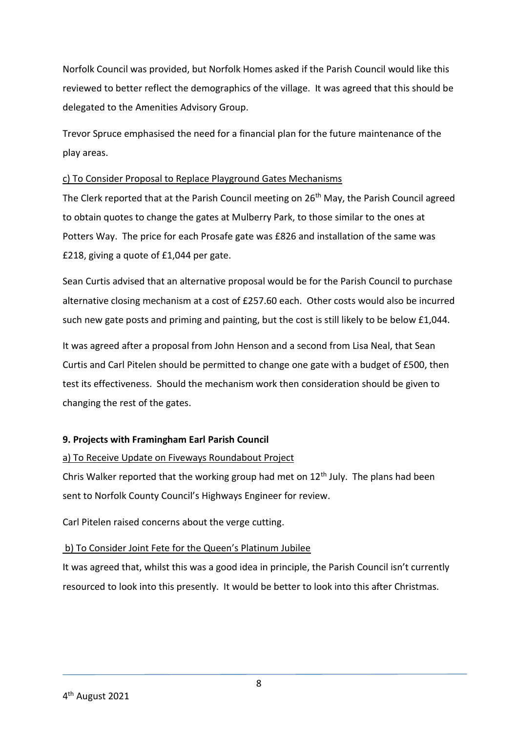Norfolk Council was provided, but Norfolk Homes asked if the Parish Council would like this reviewed to better reflect the demographics of the village. It was agreed that this should be delegated to the Amenities Advisory Group.

Trevor Spruce emphasised the need for a financial plan for the future maintenance of the play areas.

### c) To Consider Proposal to Replace Playground Gates Mechanisms

The Clerk reported that at the Parish Council meeting on 26<sup>th</sup> May, the Parish Council agreed to obtain quotes to change the gates at Mulberry Park, to those similar to the ones at Potters Way. The price for each Prosafe gate was £826 and installation of the same was £218, giving a quote of £1,044 per gate.

Sean Curtis advised that an alternative proposal would be for the Parish Council to purchase alternative closing mechanism at a cost of £257.60 each. Other costs would also be incurred such new gate posts and priming and painting, but the cost is still likely to be below £1,044.

It was agreed after a proposal from John Henson and a second from Lisa Neal, that Sean Curtis and Carl Pitelen should be permitted to change one gate with a budget of £500, then test its effectiveness. Should the mechanism work then consideration should be given to changing the rest of the gates.

### **9. Projects with Framingham Earl Parish Council**

### a) To Receive Update on Fiveways Roundabout Project

Chris Walker reported that the working group had met on 12<sup>th</sup> July. The plans had been sent to Norfolk County Council's Highways Engineer for review.

Carl Pitelen raised concerns about the verge cutting.

### b) To Consider Joint Fete for the Queen's Platinum Jubilee

It was agreed that, whilst this was a good idea in principle, the Parish Council isn't currently resourced to look into this presently. It would be better to look into this after Christmas.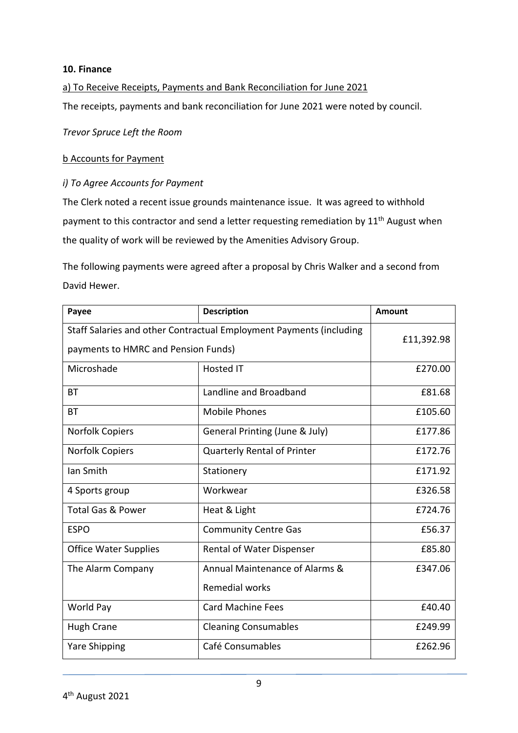#### **10. Finance**

#### a) To Receive Receipts, Payments and Bank Reconciliation for June 2021

The receipts, payments and bank reconciliation for June 2021 were noted by council.

*Trevor Spruce Left the Room*

#### b Accounts for Payment

#### *i) To Agree Accounts for Payment*

The Clerk noted a recent issue grounds maintenance issue. It was agreed to withhold payment to this contractor and send a letter requesting remediation by  $11^{\text{th}}$  August when the quality of work will be reviewed by the Amenities Advisory Group.

The following payments were agreed after a proposal by Chris Walker and a second from David Hewer.

| Payee                                                                                                      | <b>Description</b>                                      | Amount     |
|------------------------------------------------------------------------------------------------------------|---------------------------------------------------------|------------|
| Staff Salaries and other Contractual Employment Payments (including<br>payments to HMRC and Pension Funds) |                                                         | £11,392.98 |
| Microshade                                                                                                 | <b>Hosted IT</b>                                        | £270.00    |
| <b>BT</b>                                                                                                  | Landline and Broadband                                  | £81.68     |
| <b>BT</b>                                                                                                  | <b>Mobile Phones</b>                                    | £105.60    |
| <b>Norfolk Copiers</b>                                                                                     | General Printing (June & July)                          | £177.86    |
| Norfolk Copiers                                                                                            | <b>Quarterly Rental of Printer</b>                      | £172.76    |
| lan Smith                                                                                                  | Stationery                                              | £171.92    |
| 4 Sports group                                                                                             | Workwear                                                | £326.58    |
| <b>Total Gas &amp; Power</b>                                                                               | Heat & Light                                            | £724.76    |
| <b>ESPO</b>                                                                                                | <b>Community Centre Gas</b>                             | £56.37     |
| <b>Office Water Supplies</b>                                                                               | Rental of Water Dispenser                               | £85.80     |
| The Alarm Company                                                                                          | Annual Maintenance of Alarms &<br><b>Remedial works</b> | £347.06    |
| World Pay                                                                                                  | <b>Card Machine Fees</b>                                | £40.40     |
| <b>Hugh Crane</b>                                                                                          | <b>Cleaning Consumables</b>                             | £249.99    |
| <b>Yare Shipping</b>                                                                                       | Café Consumables                                        | £262.96    |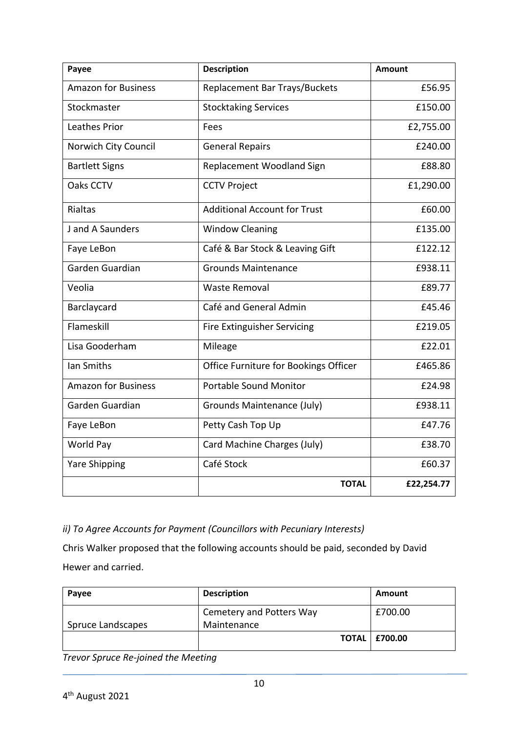| Payee                      | <b>Description</b>                    | <b>Amount</b> |
|----------------------------|---------------------------------------|---------------|
| <b>Amazon for Business</b> | Replacement Bar Trays/Buckets         | £56.95        |
| Stockmaster                | <b>Stocktaking Services</b>           | £150.00       |
| <b>Leathes Prior</b>       | Fees                                  | £2,755.00     |
| Norwich City Council       | <b>General Repairs</b>                | £240.00       |
| <b>Bartlett Signs</b>      | Replacement Woodland Sign             | £88.80        |
| Oaks CCTV                  | <b>CCTV Project</b>                   | £1,290.00     |
| Rialtas                    | <b>Additional Account for Trust</b>   | £60.00        |
| J and A Saunders           | <b>Window Cleaning</b>                | £135.00       |
| Faye LeBon                 | Café & Bar Stock & Leaving Gift       | £122.12       |
| Garden Guardian            | <b>Grounds Maintenance</b>            | £938.11       |
| Veolia                     | <b>Waste Removal</b>                  | £89.77        |
| Barclaycard                | Café and General Admin                | £45.46        |
| Flameskill                 | Fire Extinguisher Servicing           | £219.05       |
| Lisa Gooderham             | Mileage                               | £22.01        |
| Ian Smiths                 | Office Furniture for Bookings Officer | £465.86       |
| <b>Amazon for Business</b> | <b>Portable Sound Monitor</b>         | £24.98        |
| Garden Guardian            | Grounds Maintenance (July)            | £938.11       |
| Faye LeBon                 | Petty Cash Top Up                     | £47.76        |
| World Pay                  | Card Machine Charges (July)           | £38.70        |
| <b>Yare Shipping</b>       | Café Stock                            | £60.37        |
|                            | <b>TOTAL</b>                          | £22,254.77    |

### *ii) To Agree Accounts for Payment (Councillors with Pecuniary Interests)*

Chris Walker proposed that the following accounts should be paid, seconded by David Hewer and carried.

| Payee             | <b>Description</b>                      | Amount                 |
|-------------------|-----------------------------------------|------------------------|
| Spruce Landscapes | Cemetery and Potters Way<br>Maintenance | £700.00                |
|                   |                                         | <b>TOTAL   £700.00</b> |

*Trevor Spruce Re-joined the Meeting*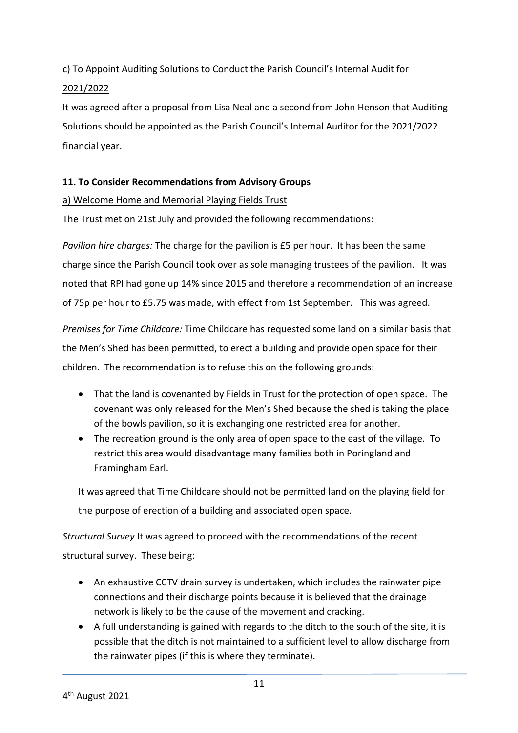## c) To Appoint Auditing Solutions to Conduct the Parish Council's Internal Audit for

### 2021/2022

It was agreed after a proposal from Lisa Neal and a second from John Henson that Auditing Solutions should be appointed as the Parish Council's Internal Auditor for the 2021/2022 financial year.

### **11. To Consider Recommendations from Advisory Groups**

### a) Welcome Home and Memorial Playing Fields Trust

The Trust met on 21st July and provided the following recommendations:

*Pavilion hire charges:* The charge for the pavilion is £5 per hour. It has been the same charge since the Parish Council took over as sole managing trustees of the pavilion. It was noted that RPI had gone up 14% since 2015 and therefore a recommendation of an increase of 75p per hour to £5.75 was made, with effect from 1st September. This was agreed.

*Premises for Time Childcare:* Time Childcare has requested some land on a similar basis that the Men's Shed has been permitted, to erect a building and provide open space for their children. The recommendation is to refuse this on the following grounds:

- That the land is covenanted by Fields in Trust for the protection of open space. The covenant was only released for the Men's Shed because the shed is taking the place of the bowls pavilion, so it is exchanging one restricted area for another.
- The recreation ground is the only area of open space to the east of the village. To restrict this area would disadvantage many families both in Poringland and Framingham Earl.

It was agreed that Time Childcare should not be permitted land on the playing field for the purpose of erection of a building and associated open space.

*Structural Survey* It was agreed to proceed with the recommendations of the recent structural survey. These being:

- An exhaustive CCTV drain survey is undertaken, which includes the rainwater pipe connections and their discharge points because it is believed that the drainage network is likely to be the cause of the movement and cracking.
- A full understanding is gained with regards to the ditch to the south of the site, it is possible that the ditch is not maintained to a sufficient level to allow discharge from the rainwater pipes (if this is where they terminate).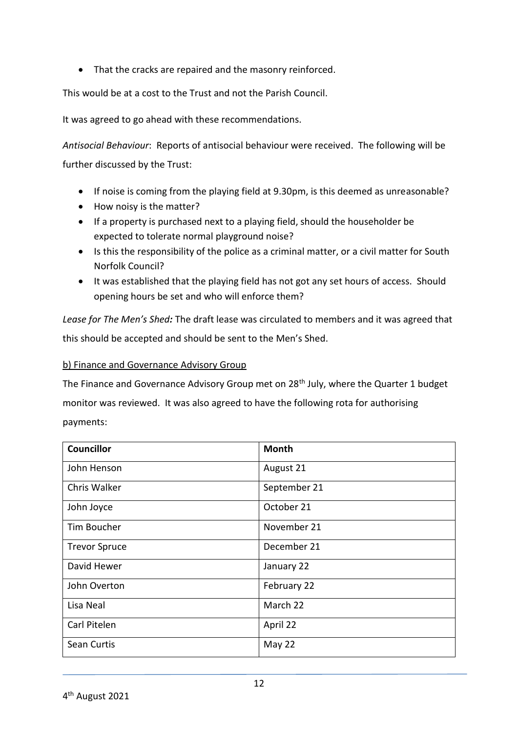• That the cracks are repaired and the masonry reinforced.

This would be at a cost to the Trust and not the Parish Council.

It was agreed to go ahead with these recommendations.

*Antisocial Behaviour*: Reports of antisocial behaviour were received. The following will be further discussed by the Trust:

- If noise is coming from the playing field at 9.30pm, is this deemed as unreasonable?
- How noisy is the matter?
- If a property is purchased next to a playing field, should the householder be expected to tolerate normal playground noise?
- Is this the responsibility of the police as a criminal matter, or a civil matter for South Norfolk Council?
- It was established that the playing field has not got any set hours of access. Should opening hours be set and who will enforce them?

*Lease for The Men's Shed:* The draft lease was circulated to members and it was agreed that this should be accepted and should be sent to the Men's Shed.

### b) Finance and Governance Advisory Group

The Finance and Governance Advisory Group met on 28<sup>th</sup> July, where the Quarter 1 budget monitor was reviewed. It was also agreed to have the following rota for authorising payments:

| <b>Councillor</b>    | <b>Month</b> |
|----------------------|--------------|
| John Henson          | August 21    |
| Chris Walker         | September 21 |
| John Joyce           | October 21   |
| Tim Boucher          | November 21  |
| <b>Trevor Spruce</b> | December 21  |
| David Hewer          | January 22   |
| John Overton         | February 22  |
| Lisa Neal            | March 22     |
| Carl Pitelen         | April 22     |
| Sean Curtis          | May 22       |